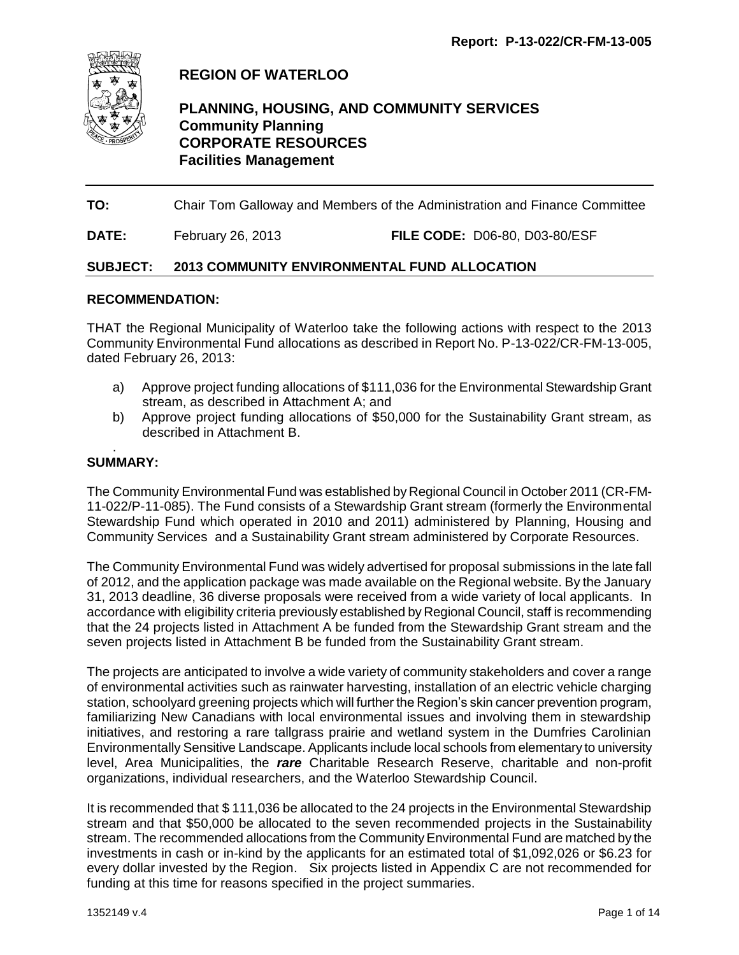

# **REGION OF WATERLOO**

## **PLANNING, HOUSING, AND COMMUNITY SERVICES Community Planning CORPORATE RESOURCES Facilities Management**

**TO:** Chair Tom Galloway and Members of the Administration and Finance Committee

**DATE:** February 26, 2013 **FILE CODE:** D06-80, D03-80/ESF

#### **SUBJECT: 2013 COMMUNITY ENVIRONMENTAL FUND ALLOCATION**

#### **RECOMMENDATION:**

THAT the Regional Municipality of Waterloo take the following actions with respect to the 2013 Community Environmental Fund allocations as described in Report No. P-13-022/CR-FM-13-005, dated February 26, 2013:

- a) Approve project funding allocations of \$111,036 for the Environmental Stewardship Grant stream, as described in Attachment A; and
- b) Approve project funding allocations of \$50,000 for the Sustainability Grant stream, as described in Attachment B.

#### **SUMMARY:**

.

The Community Environmental Fund was established by Regional Council in October 2011 (CR-FM-11-022/P-11-085). The Fund consists of a Stewardship Grant stream (formerly the Environmental Stewardship Fund which operated in 2010 and 2011) administered by Planning, Housing and Community Services and a Sustainability Grant stream administered by Corporate Resources.

The Community Environmental Fund was widely advertised for proposal submissions in the late fall of 2012, and the application package was made available on the Regional website. By the January 31, 2013 deadline, 36 diverse proposals were received from a wide variety of local applicants. In accordance with eligibility criteria previously established by Regional Council, staff is recommending that the 24 projects listed in Attachment A be funded from the Stewardship Grant stream and the seven projects listed in Attachment B be funded from the Sustainability Grant stream.

The projects are anticipated to involve a wide variety of community stakeholders and cover a range of environmental activities such as rainwater harvesting, installation of an electric vehicle charging station, schoolyard greening projects which will further the Region's skin cancer prevention program, familiarizing New Canadians with local environmental issues and involving them in stewardship initiatives, and restoring a rare tallgrass prairie and wetland system in the Dumfries Carolinian Environmentally Sensitive Landscape. Applicants include local schools from elementary to university level, Area Municipalities, the *rare* Charitable Research Reserve, charitable and non-profit organizations, individual researchers, and the Waterloo Stewardship Council.

It is recommended that \$ 111,036 be allocated to the 24 projects in the Environmental Stewardship stream and that \$50,000 be allocated to the seven recommended projects in the Sustainability stream. The recommended allocations from the Community Environmental Fund are matched by the investments in cash or in-kind by the applicants for an estimated total of \$1,092,026 or \$6.23 for every dollar invested by the Region. Six projects listed in Appendix C are not recommended for funding at this time for reasons specified in the project summaries.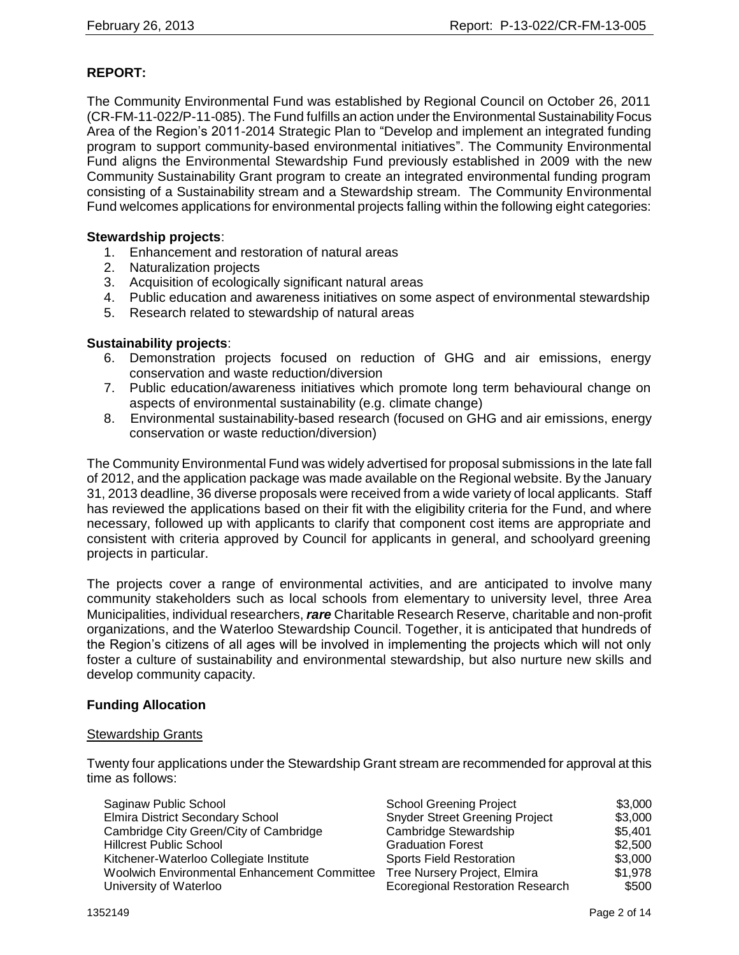## **REPORT:**

The Community Environmental Fund was established by Regional Council on October 26, 2011 (CR-FM-11-022/P-11-085). The Fund fulfills an action under the Environmental Sustainability Focus Area of the Region's 2011-2014 Strategic Plan to "Develop and implement an integrated funding program to support community-based environmental initiatives". The Community Environmental Fund aligns the Environmental Stewardship Fund previously established in 2009 with the new Community Sustainability Grant program to create an integrated environmental funding program consisting of a Sustainability stream and a Stewardship stream. The Community Environmental Fund welcomes applications for environmental projects falling within the following eight categories:

#### **Stewardship projects**:

- 1. Enhancement and restoration of natural areas
- 2. Naturalization projects
- 3. Acquisition of ecologically significant natural areas
- 4. Public education and awareness initiatives on some aspect of environmental stewardship
- 5. Research related to stewardship of natural areas

#### **Sustainability projects**:

- 6. Demonstration projects focused on reduction of GHG and air emissions, energy conservation and waste reduction/diversion
- 7. Public education/awareness initiatives which promote long term behavioural change on aspects of environmental sustainability (e.g. climate change)
- 8. Environmental sustainability-based research (focused on GHG and air emissions, energy conservation or waste reduction/diversion)

The Community Environmental Fund was widely advertised for proposal submissions in the late fall of 2012, and the application package was made available on the Regional website. By the January 31, 2013 deadline, 36 diverse proposals were received from a wide variety of local applicants. Staff has reviewed the applications based on their fit with the eligibility criteria for the Fund, and where necessary, followed up with applicants to clarify that component cost items are appropriate and consistent with criteria approved by Council for applicants in general, and schoolyard greening projects in particular.

The projects cover a range of environmental activities, and are anticipated to involve many community stakeholders such as local schools from elementary to university level, three Area Municipalities, individual researchers, *rare* Charitable Research Reserve, charitable and non-profit organizations, and the Waterloo Stewardship Council. Together, it is anticipated that hundreds of the Region's citizens of all ages will be involved in implementing the projects which will not only foster a culture of sustainability and environmental stewardship, but also nurture new skills and develop community capacity.

#### **Funding Allocation**

#### Stewardship Grants

Twenty four applications under the Stewardship Grant stream are recommended for approval at this time as follows:

| Saginaw Public School                        | <b>School Greening Project</b>          | \$3,000 |
|----------------------------------------------|-----------------------------------------|---------|
| <b>Elmira District Secondary School</b>      | <b>Snyder Street Greening Project</b>   | \$3,000 |
| Cambridge City Green/City of Cambridge       | Cambridge Stewardship                   | \$5,401 |
| <b>Hillcrest Public School</b>               | <b>Graduation Forest</b>                | \$2,500 |
| Kitchener-Waterloo Collegiate Institute      | <b>Sports Field Restoration</b>         | \$3,000 |
| Woolwich Environmental Enhancement Committee | Tree Nursery Project, Elmira            | \$1,978 |
| University of Waterloo                       | <b>Ecoregional Restoration Research</b> | \$500   |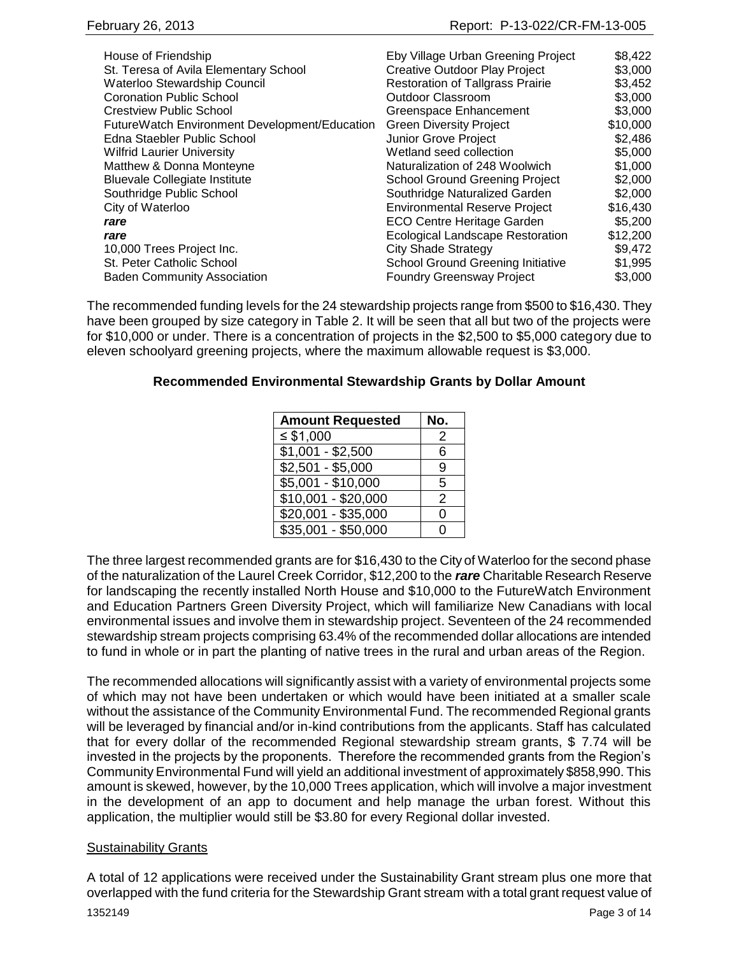| House of Friendship                           | Eby Village Urban Greening Project       | \$8,422  |
|-----------------------------------------------|------------------------------------------|----------|
| St. Teresa of Avila Elementary School         | <b>Creative Outdoor Play Project</b>     | \$3,000  |
| Waterloo Stewardship Council                  | <b>Restoration of Tallgrass Prairie</b>  | \$3,452  |
| <b>Coronation Public School</b>               | Outdoor Classroom                        | \$3,000  |
| <b>Crestview Public School</b>                | Greenspace Enhancement                   | \$3,000  |
| FutureWatch Environment Development/Education | <b>Green Diversity Project</b>           | \$10,000 |
| Edna Staebler Public School                   | Junior Grove Project                     | \$2,486  |
| <b>Wilfrid Laurier University</b>             | Wetland seed collection                  | \$5,000  |
| Matthew & Donna Monteyne                      | Naturalization of 248 Woolwich           | \$1,000  |
| <b>Bluevale Collegiate Institute</b>          | <b>School Ground Greening Project</b>    | \$2,000  |
| Southridge Public School                      | Southridge Naturalized Garden            | \$2,000  |
| City of Waterloo                              | <b>Environmental Reserve Project</b>     | \$16,430 |
| rare                                          | <b>ECO Centre Heritage Garden</b>        | \$5,200  |
| rare                                          | Ecological Landscape Restoration         | \$12,200 |
| 10,000 Trees Project Inc.                     | <b>City Shade Strategy</b>               | \$9,472  |
| St. Peter Catholic School                     | <b>School Ground Greening Initiative</b> | \$1,995  |
| <b>Baden Community Association</b>            | <b>Foundry Greensway Project</b>         | \$3,000  |

The recommended funding levels for the 24 stewardship projects range from \$500 to \$16,430. They have been grouped by size category in Table 2. It will be seen that all but two of the projects were for \$10,000 or under. There is a concentration of projects in the \$2,500 to \$5,000 category due to eleven schoolyard greening projects, where the maximum allowable request is \$3,000.

## **Recommended Environmental Stewardship Grants by Dollar Amount**

| <b>Amount Requested</b>       | No. |
|-------------------------------|-----|
| ≤ $$1,000$                    | 2   |
| $$1,001 - $2,500$             | 6   |
| $$2,501 - $5,000$             | 9   |
| $\overline{$5,001 - $10,000}$ | 5   |
| $$10,001 - $20,000$           | 2   |
| $$20,001 - $35,000$           | 0   |
| $$35,001 - $50,000$           | ∩   |

The three largest recommended grants are for \$16,430 to the City of Waterloo for the second phase of the naturalization of the Laurel Creek Corridor, \$12,200 to the *rare* Charitable Research Reserve for landscaping the recently installed North House and \$10,000 to the FutureWatch Environment and Education Partners Green Diversity Project, which will familiarize New Canadians with local environmental issues and involve them in stewardship project. Seventeen of the 24 recommended stewardship stream projects comprising 63.4% of the recommended dollar allocations are intended to fund in whole or in part the planting of native trees in the rural and urban areas of the Region.

The recommended allocations will significantly assist with a variety of environmental projects some of which may not have been undertaken or which would have been initiated at a smaller scale without the assistance of the Community Environmental Fund. The recommended Regional grants will be leveraged by financial and/or in-kind contributions from the applicants. Staff has calculated that for every dollar of the recommended Regional stewardship stream grants, \$ 7.74 will be invested in the projects by the proponents. Therefore the recommended grants from the Region's Community Environmental Fund will yield an additional investment of approximately \$858,990. This amount is skewed, however, by the 10,000 Trees application, which will involve a major investment in the development of an app to document and help manage the urban forest. Without this application, the multiplier would still be \$3.80 for every Regional dollar invested.

#### Sustainability Grants

A total of 12 applications were received under the Sustainability Grant stream plus one more that overlapped with the fund criteria for the Stewardship Grant stream with a total grant request value of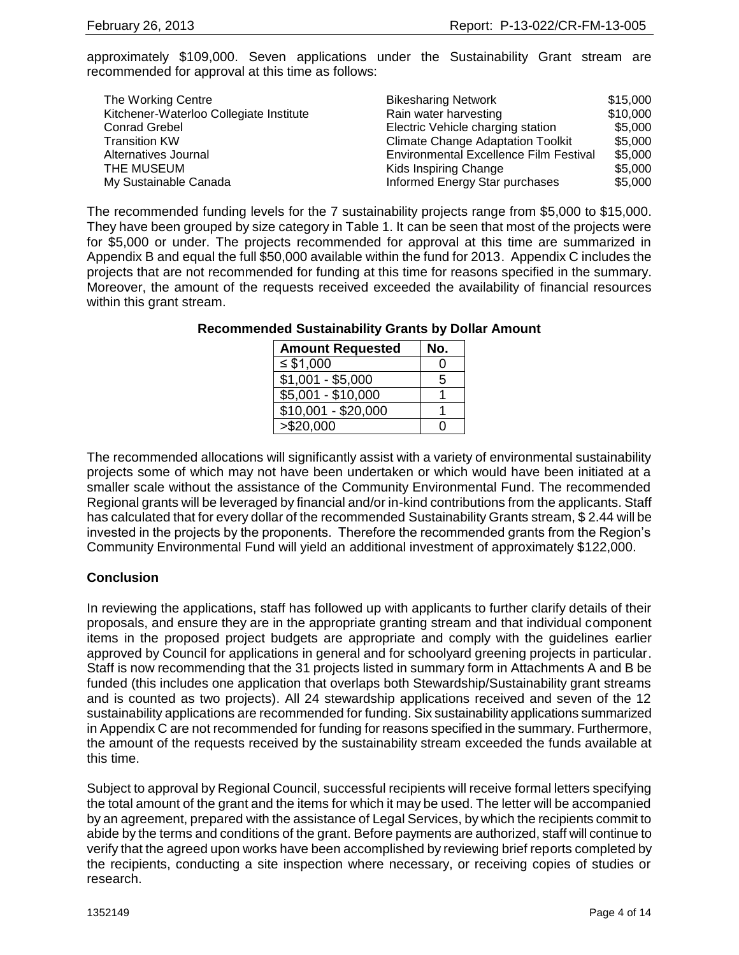approximately \$109,000. Seven applications under the Sustainability Grant stream are recommended for approval at this time as follows:

| The Working Centre                      | <b>Bikesharing Network</b>                    | \$15,000 |
|-----------------------------------------|-----------------------------------------------|----------|
| Kitchener-Waterloo Collegiate Institute | Rain water harvesting                         | \$10,000 |
| <b>Conrad Grebel</b>                    | Electric Vehicle charging station             | \$5,000  |
| <b>Transition KW</b>                    | <b>Climate Change Adaptation Toolkit</b>      | \$5,000  |
| Alternatives Journal                    | <b>Environmental Excellence Film Festival</b> | \$5,000  |
| THE MUSEUM                              | Kids Inspiring Change                         | \$5,000  |
| My Sustainable Canada                   | Informed Energy Star purchases                | \$5,000  |

The recommended funding levels for the 7 sustainability projects range from \$5,000 to \$15,000. They have been grouped by size category in Table 1. It can be seen that most of the projects were for \$5,000 or under. The projects recommended for approval at this time are summarized in Appendix B and equal the full \$50,000 available within the fund for 2013. Appendix C includes the projects that are not recommended for funding at this time for reasons specified in the summary. Moreover, the amount of the requests received exceeded the availability of financial resources within this grant stream.

| <b>Amount Requested</b>         | No. |
|---------------------------------|-----|
| $\leq$ \$1,000                  |     |
| $\overline{\$1}$ ,001 - \$5,000 | 5   |
| \$5,001 - \$10,000              |     |
| $$10,001 - $20,000$             |     |
| > \$20,000                      |     |

#### **Recommended Sustainability Grants by Dollar Amount**

The recommended allocations will significantly assist with a variety of environmental sustainability projects some of which may not have been undertaken or which would have been initiated at a smaller scale without the assistance of the Community Environmental Fund. The recommended Regional grants will be leveraged by financial and/or in-kind contributions from the applicants. Staff has calculated that for every dollar of the recommended Sustainability Grants stream, \$2.44 will be invested in the projects by the proponents. Therefore the recommended grants from the Region's Community Environmental Fund will yield an additional investment of approximately \$122,000.

## **Conclusion**

In reviewing the applications, staff has followed up with applicants to further clarify details of their proposals, and ensure they are in the appropriate granting stream and that individual component items in the proposed project budgets are appropriate and comply with the guidelines earlier approved by Council for applications in general and for schoolyard greening projects in particular. Staff is now recommending that the 31 projects listed in summary form in Attachments A and B be funded (this includes one application that overlaps both Stewardship/Sustainability grant streams and is counted as two projects). All 24 stewardship applications received and seven of the 12 sustainability applications are recommended for funding. Six sustainability applications summarized in Appendix C are not recommended for funding for reasons specified in the summary. Furthermore, the amount of the requests received by the sustainability stream exceeded the funds available at this time.

Subject to approval by Regional Council, successful recipients will receive formal letters specifying the total amount of the grant and the items for which it may be used. The letter will be accompanied by an agreement, prepared with the assistance of Legal Services, by which the recipients commit to abide by the terms and conditions of the grant. Before payments are authorized, staff will continue to verify that the agreed upon works have been accomplished by reviewing brief reports completed by the recipients, conducting a site inspection where necessary, or receiving copies of studies or research.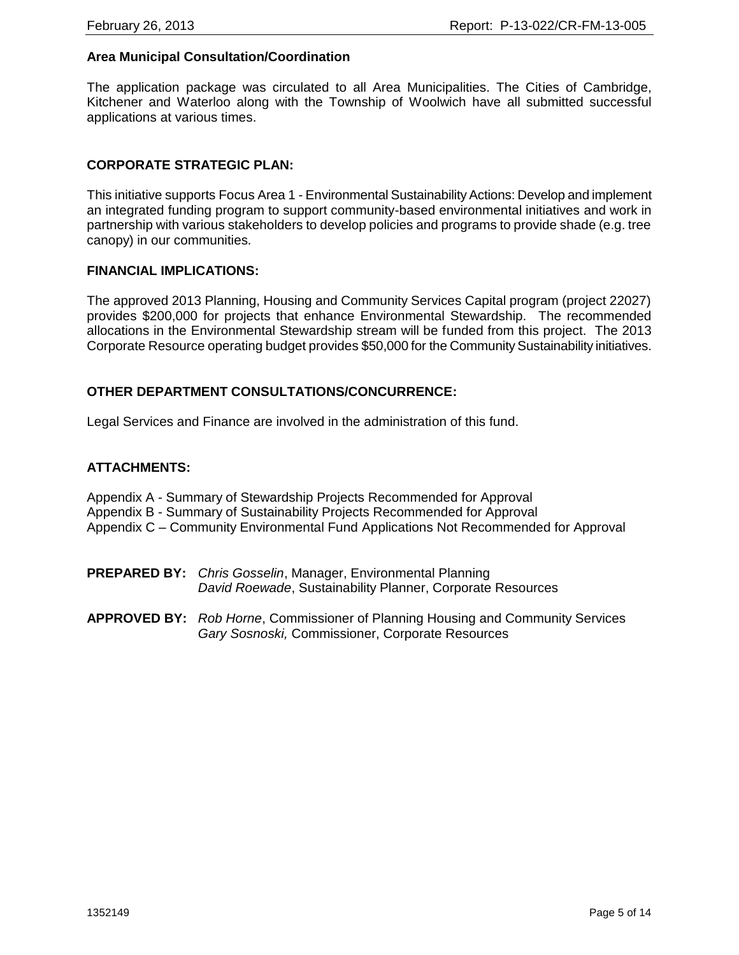## **Area Municipal Consultation/Coordination**

The application package was circulated to all Area Municipalities. The Cities of Cambridge, Kitchener and Waterloo along with the Township of Woolwich have all submitted successful applications at various times.

## **CORPORATE STRATEGIC PLAN:**

This initiative supports Focus Area 1 - Environmental Sustainability Actions: Develop and implement an integrated funding program to support community-based environmental initiatives and work in partnership with various stakeholders to develop policies and programs to provide shade (e.g. tree canopy) in our communities*.*

#### **FINANCIAL IMPLICATIONS:**

The approved 2013 Planning, Housing and Community Services Capital program (project 22027) provides \$200,000 for projects that enhance Environmental Stewardship. The recommended allocations in the Environmental Stewardship stream will be funded from this project. The 2013 Corporate Resource operating budget provides \$50,000 for the Community Sustainability initiatives.

#### **OTHER DEPARTMENT CONSULTATIONS/CONCURRENCE:**

Legal Services and Finance are involved in the administration of this fund.

#### **ATTACHMENTS:**

- Appendix A Summary of Stewardship Projects Recommended for Approval
- Appendix B Summary of Sustainability Projects Recommended for Approval

Appendix C – Community Environmental Fund Applications Not Recommended for Approval

- **PREPARED BY:** *Chris Gosselin*, Manager, Environmental Planning *David Roewade*, Sustainability Planner, Corporate Resources
- **APPROVED BY:** *Rob Horne*, Commissioner of Planning Housing and Community Services *Gary Sosnoski,* Commissioner, Corporate Resources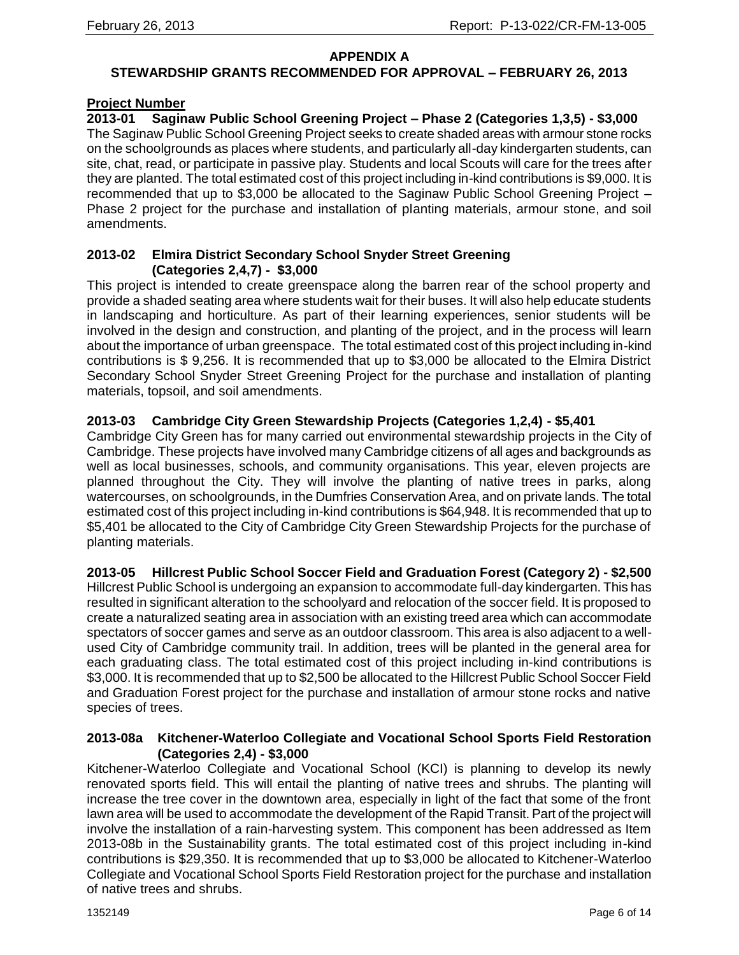#### **APPENDIX A**

## **STEWARDSHIP GRANTS RECOMMENDED FOR APPROVAL – FEBRUARY 26, 2013**

#### **Project Number**

**2013-01 Saginaw Public School Greening Project – Phase 2 (Categories 1,3,5) - \$3,000** The Saginaw Public School Greening Project seeks to create shaded areas with armour stone rocks on the schoolgrounds as places where students, and particularly all-day kindergarten students, can site, chat, read, or participate in passive play. Students and local Scouts will care for the trees after they are planted. The total estimated cost of this project including in-kind contributions is \$9,000. It is recommended that up to \$3,000 be allocated to the Saginaw Public School Greening Project – Phase 2 project for the purchase and installation of planting materials, armour stone, and soil amendments.

#### **2013-02 Elmira District Secondary School Snyder Street Greening (Categories 2,4,7) - \$3,000**

This project is intended to create greenspace along the barren rear of the school property and provide a shaded seating area where students wait for their buses. It will also help educate students in landscaping and horticulture. As part of their learning experiences, senior students will be involved in the design and construction, and planting of the project, and in the process will learn about the importance of urban greenspace. The total estimated cost of this project including in-kind contributions is \$ 9,256. It is recommended that up to \$3,000 be allocated to the Elmira District Secondary School Snyder Street Greening Project for the purchase and installation of planting materials, topsoil, and soil amendments.

## **2013-03 Cambridge City Green Stewardship Projects (Categories 1,2,4) - \$5,401**

Cambridge City Green has for many carried out environmental stewardship projects in the City of Cambridge. These projects have involved many Cambridge citizens of all ages and backgrounds as well as local businesses, schools, and community organisations. This year, eleven projects are planned throughout the City. They will involve the planting of native trees in parks, along watercourses, on schoolgrounds, in the Dumfries Conservation Area, and on private lands. The total estimated cost of this project including in-kind contributions is \$64,948. It is recommended that up to \$5,401 be allocated to the City of Cambridge City Green Stewardship Projects for the purchase of planting materials.

#### **2013-05 Hillcrest Public School Soccer Field and Graduation Forest (Category 2) - \$2,500**

Hillcrest Public School is undergoing an expansion to accommodate full-day kindergarten. This has resulted in significant alteration to the schoolyard and relocation of the soccer field. It is proposed to create a naturalized seating area in association with an existing treed area which can accommodate spectators of soccer games and serve as an outdoor classroom. This area is also adjacent to a wellused City of Cambridge community trail. In addition, trees will be planted in the general area for each graduating class. The total estimated cost of this project including in-kind contributions is \$3,000. It is recommended that up to \$2,500 be allocated to the Hillcrest Public School Soccer Field and Graduation Forest project for the purchase and installation of armour stone rocks and native species of trees.

#### **2013-08a Kitchener-Waterloo Collegiate and Vocational School Sports Field Restoration (Categories 2,4) - \$3,000**

Kitchener-Waterloo Collegiate and Vocational School (KCI) is planning to develop its newly renovated sports field. This will entail the planting of native trees and shrubs. The planting will increase the tree cover in the downtown area, especially in light of the fact that some of the front lawn area will be used to accommodate the development of the Rapid Transit. Part of the project will involve the installation of a rain-harvesting system. This component has been addressed as Item 2013-08b in the Sustainability grants. The total estimated cost of this project including in-kind contributions is \$29,350. It is recommended that up to \$3,000 be allocated to Kitchener-Waterloo Collegiate and Vocational School Sports Field Restoration project for the purchase and installation of native trees and shrubs.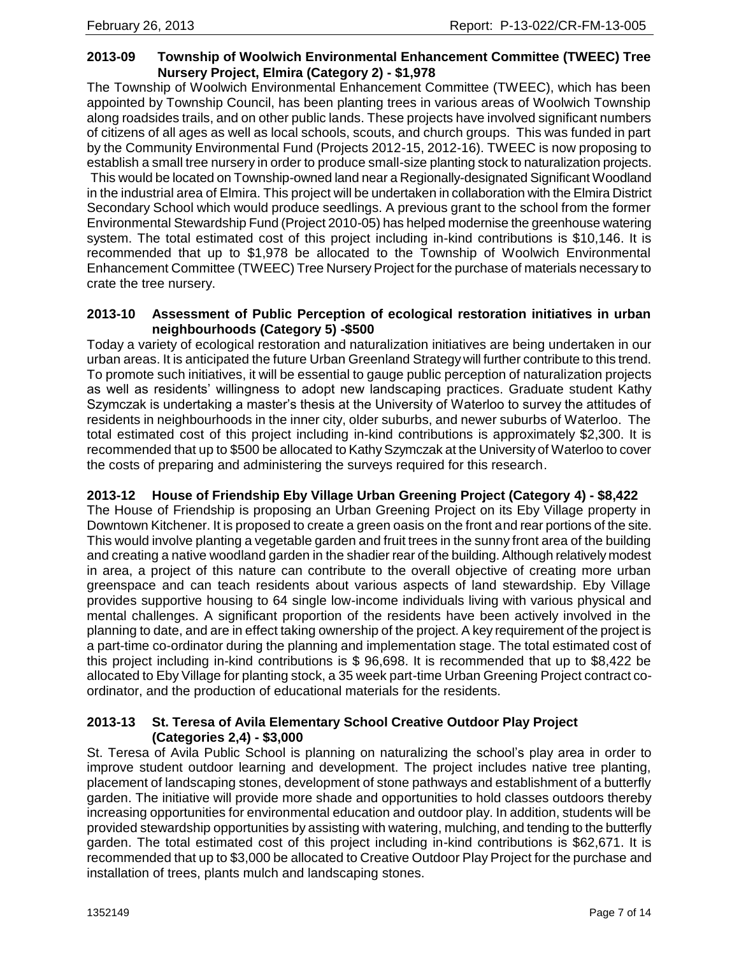## **2013-09 Township of Woolwich Environmental Enhancement Committee (TWEEC) Tree Nursery Project, Elmira (Category 2) - \$1,978**

The Township of Woolwich Environmental Enhancement Committee (TWEEC), which has been appointed by Township Council, has been planting trees in various areas of Woolwich Township along roadsides trails, and on other public lands. These projects have involved significant numbers of citizens of all ages as well as local schools, scouts, and church groups. This was funded in part by the Community Environmental Fund (Projects 2012-15, 2012-16). TWEEC is now proposing to establish a small tree nursery in order to produce small-size planting stock to naturalization projects. This would be located on Township-owned land near a Regionally-designated Significant Woodland in the industrial area of Elmira. This project will be undertaken in collaboration with the Elmira District Secondary School which would produce seedlings. A previous grant to the school from the former Environmental Stewardship Fund (Project 2010-05) has helped modernise the greenhouse watering system. The total estimated cost of this project including in-kind contributions is \$10,146. It is recommended that up to \$1,978 be allocated to the Township of Woolwich Environmental Enhancement Committee (TWEEC) Tree Nursery Project for the purchase of materials necessary to crate the tree nursery.

#### **2013-10 Assessment of Public Perception of ecological restoration initiatives in urban neighbourhoods (Category 5) -\$500**

Today a variety of ecological restoration and naturalization initiatives are being undertaken in our urban areas. It is anticipated the future Urban Greenland Strategy will further contribute to this trend. To promote such initiatives, it will be essential to gauge public perception of naturalization projects as well as residents' willingness to adopt new landscaping practices. Graduate student Kathy Szymczak is undertaking a master's thesis at the University of Waterloo to survey the attitudes of residents in neighbourhoods in the inner city, older suburbs, and newer suburbs of Waterloo. The total estimated cost of this project including in-kind contributions is approximately \$2,300. It is recommended that up to \$500 be allocated to Kathy Szymczak at the University of Waterloo to cover the costs of preparing and administering the surveys required for this research.

## **2013-12 House of Friendship Eby Village Urban Greening Project (Category 4) - \$8,422**

The House of Friendship is proposing an Urban Greening Project on its Eby Village property in Downtown Kitchener. It is proposed to create a green oasis on the front and rear portions of the site. This would involve planting a vegetable garden and fruit trees in the sunny front area of the building and creating a native woodland garden in the shadier rear of the building. Although relatively modest in area, a project of this nature can contribute to the overall objective of creating more urban greenspace and can teach residents about various aspects of land stewardship. Eby Village provides supportive housing to 64 single low-income individuals living with various physical and mental challenges. A significant proportion of the residents have been actively involved in the planning to date, and are in effect taking ownership of the project. A key requirement of the project is a part-time co-ordinator during the planning and implementation stage. The total estimated cost of this project including in-kind contributions is \$ 96,698. It is recommended that up to \$8,422 be allocated to Eby Village for planting stock, a 35 week part-time Urban Greening Project contract coordinator, and the production of educational materials for the residents.

#### **2013-13 St. Teresa of Avila Elementary School Creative Outdoor Play Project (Categories 2,4) - \$3,000**

St. Teresa of Avila Public School is planning on naturalizing the school's play area in order to improve student outdoor learning and development. The project includes native tree planting, placement of landscaping stones, development of stone pathways and establishment of a butterfly garden. The initiative will provide more shade and opportunities to hold classes outdoors thereby increasing opportunities for environmental education and outdoor play. In addition, students will be provided stewardship opportunities by assisting with watering, mulching, and tending to the butterfly garden. The total estimated cost of this project including in-kind contributions is \$62,671. It is recommended that up to \$3,000 be allocated to Creative Outdoor Play Project for the purchase and installation of trees, plants mulch and landscaping stones.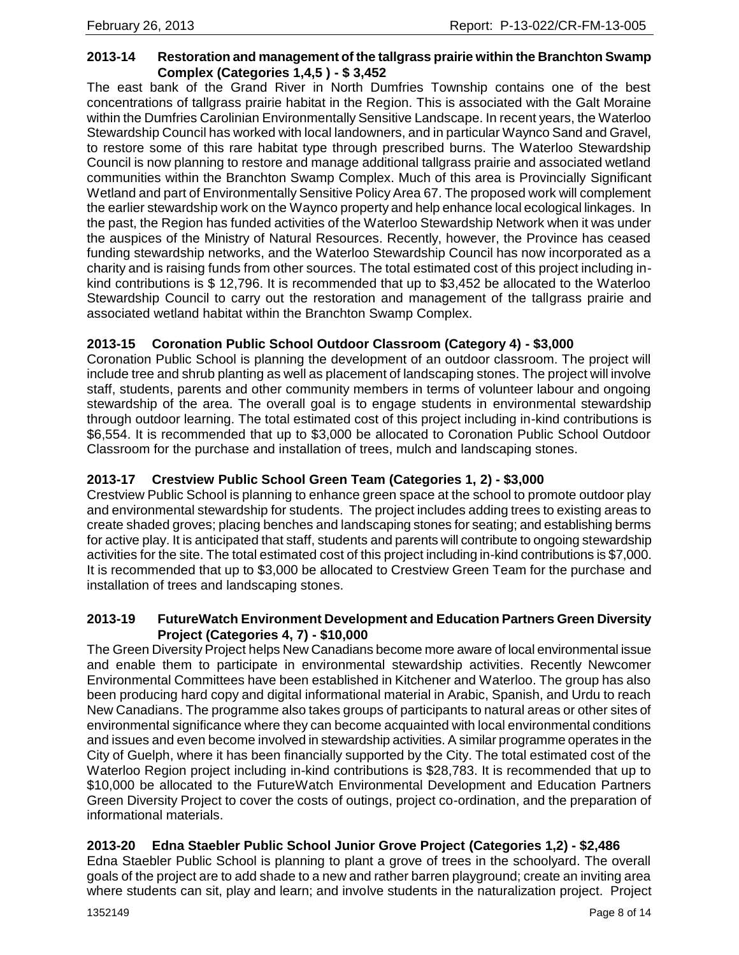#### **2013-14 Restoration and management of the tallgrass prairie within the Branchton Swamp Complex (Categories 1,4,5 ) - \$ 3,452**

The east bank of the Grand River in North Dumfries Township contains one of the best concentrations of tallgrass prairie habitat in the Region. This is associated with the Galt Moraine within the Dumfries Carolinian Environmentally Sensitive Landscape. In recent years, the Waterloo Stewardship Council has worked with local landowners, and in particular Waynco Sand and Gravel, to restore some of this rare habitat type through prescribed burns. The Waterloo Stewardship Council is now planning to restore and manage additional tallgrass prairie and associated wetland communities within the Branchton Swamp Complex. Much of this area is Provincially Significant Wetland and part of Environmentally Sensitive Policy Area 67. The proposed work will complement the earlier stewardship work on the Waynco property and help enhance local ecological linkages. In the past, the Region has funded activities of the Waterloo Stewardship Network when it was under the auspices of the Ministry of Natural Resources. Recently, however, the Province has ceased funding stewardship networks, and the Waterloo Stewardship Council has now incorporated as a charity and is raising funds from other sources. The total estimated cost of this project including inkind contributions is \$ 12,796. It is recommended that up to \$3,452 be allocated to the Waterloo Stewardship Council to carry out the restoration and management of the tallgrass prairie and associated wetland habitat within the Branchton Swamp Complex.

## **2013-15 Coronation Public School Outdoor Classroom (Category 4) - \$3,000**

Coronation Public School is planning the development of an outdoor classroom. The project will include tree and shrub planting as well as placement of landscaping stones. The project will involve staff, students, parents and other community members in terms of volunteer labour and ongoing stewardship of the area. The overall goal is to engage students in environmental stewardship through outdoor learning. The total estimated cost of this project including in-kind contributions is \$6,554. It is recommended that up to \$3,000 be allocated to Coronation Public School Outdoor Classroom for the purchase and installation of trees, mulch and landscaping stones.

## **2013-17 Crestview Public School Green Team (Categories 1, 2) - \$3,000**

Crestview Public School is planning to enhance green space at the school to promote outdoor play and environmental stewardship for students. The project includes adding trees to existing areas to create shaded groves; placing benches and landscaping stones for seating; and establishing berms for active play. It is anticipated that staff, students and parents will contribute to ongoing stewardship activities for the site. The total estimated cost of this project including in-kind contributions is \$7,000. It is recommended that up to \$3,000 be allocated to Crestview Green Team for the purchase and installation of trees and landscaping stones.

#### **2013-19 FutureWatch Environment Development and Education Partners Green Diversity Project (Categories 4, 7) - \$10,000**

The Green Diversity Project helps New Canadians become more aware of local environmental issue and enable them to participate in environmental stewardship activities. Recently Newcomer Environmental Committees have been established in Kitchener and Waterloo. The group has also been producing hard copy and digital informational material in Arabic, Spanish, and Urdu to reach New Canadians. The programme also takes groups of participants to natural areas or other sites of environmental significance where they can become acquainted with local environmental conditions and issues and even become involved in stewardship activities. A similar programme operates in the City of Guelph, where it has been financially supported by the City. The total estimated cost of the Waterloo Region project including in-kind contributions is \$28,783. It is recommended that up to \$10,000 be allocated to the FutureWatch Environmental Development and Education Partners Green Diversity Project to cover the costs of outings, project co-ordination, and the preparation of informational materials.

# **2013-20 Edna Staebler Public School Junior Grove Project (Categories 1,2) - \$2,486**

Edna Staebler Public School is planning to plant a grove of trees in the schoolyard. The overall goals of the project are to add shade to a new and rather barren playground; create an inviting area where students can sit, play and learn; and involve students in the naturalization project. Project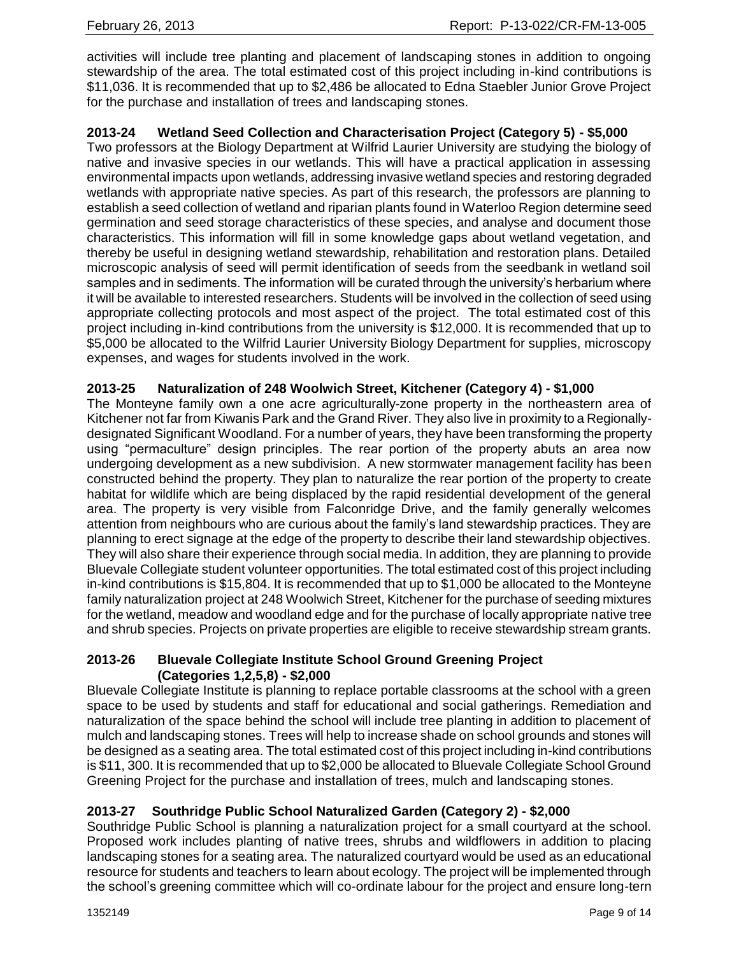activities will include tree planting and placement of landscaping stones in addition to ongoing stewardship of the area. The total estimated cost of this project including in-kind contributions is \$11,036. It is recommended that up to \$2,486 be allocated to Edna Staebler Junior Grove Project for the purchase and installation of trees and landscaping stones.

## **2013-24 Wetland Seed Collection and Characterisation Project (Category 5) - \$5,000**

Two professors at the Biology Department at Wilfrid Laurier University are studying the biology of native and invasive species in our wetlands. This will have a practical application in assessing environmental impacts upon wetlands, addressing invasive wetland species and restoring degraded wetlands with appropriate native species. As part of this research, the professors are planning to establish a seed collection of wetland and riparian plants found in Waterloo Region determine seed germination and seed storage characteristics of these species, and analyse and document those characteristics. This information will fill in some knowledge gaps about wetland vegetation, and thereby be useful in designing wetland stewardship, rehabilitation and restoration plans. Detailed microscopic analysis of seed will permit identification of seeds from the seedbank in wetland soil samples and in sediments. The information will be curated through the university's herbarium where it will be available to interested researchers. Students will be involved in the collection of seed using appropriate collecting protocols and most aspect of the project. The total estimated cost of this project including in-kind contributions from the university is \$12,000. It is recommended that up to \$5,000 be allocated to the Wilfrid Laurier University Biology Department for supplies, microscopy expenses, and wages for students involved in the work.

#### **2013-25 Naturalization of 248 Woolwich Street, Kitchener (Category 4) - \$1,000**

The Monteyne family own a one acre agriculturally-zone property in the northeastern area of Kitchener not far from Kiwanis Park and the Grand River. They also live in proximity to a Regionallydesignated Significant Woodland. For a number of years, they have been transforming the property using "permaculture" design principles. The rear portion of the property abuts an area now undergoing development as a new subdivision. A new stormwater management facility has been constructed behind the property. They plan to naturalize the rear portion of the property to create habitat for wildlife which are being displaced by the rapid residential development of the general area. The property is very visible from Falconridge Drive, and the family generally welcomes attention from neighbours who are curious about the family's land stewardship practices. They are planning to erect signage at the edge of the property to describe their land stewardship objectives. They will also share their experience through social media. In addition, they are planning to provide Bluevale Collegiate student volunteer opportunities. The total estimated cost of this project including in-kind contributions is \$15,804. It is recommended that up to \$1,000 be allocated to the Monteyne family naturalization project at 248 Woolwich Street, Kitchener for the purchase of seeding mixtures for the wetland, meadow and woodland edge and for the purchase of locally appropriate native tree and shrub species. Projects on private properties are eligible to receive stewardship stream grants.

#### **2013-26 Bluevale Collegiate Institute School Ground Greening Project (Categories 1,2,5,8) - \$2,000**

Bluevale Collegiate Institute is planning to replace portable classrooms at the school with a green space to be used by students and staff for educational and social gatherings. Remediation and naturalization of the space behind the school will include tree planting in addition to placement of mulch and landscaping stones. Trees will help to increase shade on school grounds and stones will be designed as a seating area. The total estimated cost of this project including in-kind contributions is \$11, 300. It is recommended that up to \$2,000 be allocated to Bluevale Collegiate School Ground Greening Project for the purchase and installation of trees, mulch and landscaping stones.

## **2013-27 Southridge Public School Naturalized Garden (Category 2) - \$2,000**

Southridge Public School is planning a naturalization project for a small courtyard at the school. Proposed work includes planting of native trees, shrubs and wildflowers in addition to placing landscaping stones for a seating area. The naturalized courtyard would be used as an educational resource for students and teachers to learn about ecology. The project will be implemented through the school's greening committee which will co-ordinate labour for the project and ensure long-tern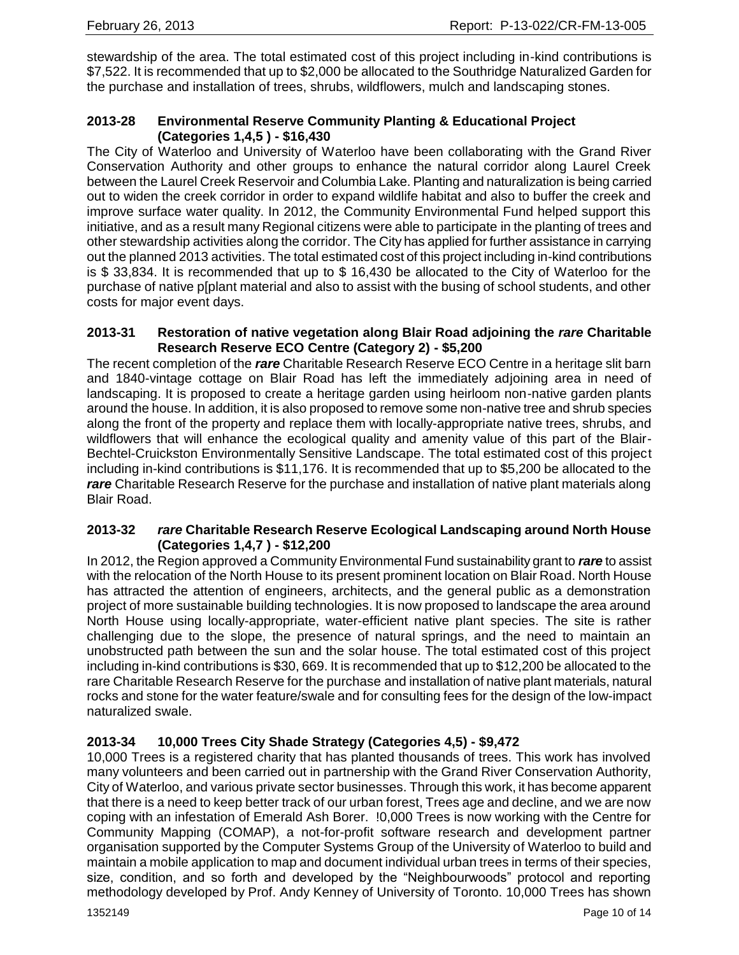stewardship of the area. The total estimated cost of this project including in-kind contributions is \$7,522. It is recommended that up to \$2,000 be allocated to the Southridge Naturalized Garden for the purchase and installation of trees, shrubs, wildflowers, mulch and landscaping stones.

## **2013-28 Environmental Reserve Community Planting & Educational Project (Categories 1,4,5 ) - \$16,430**

The City of Waterloo and University of Waterloo have been collaborating with the Grand River Conservation Authority and other groups to enhance the natural corridor along Laurel Creek between the Laurel Creek Reservoir and Columbia Lake. Planting and naturalization is being carried out to widen the creek corridor in order to expand wildlife habitat and also to buffer the creek and improve surface water quality. In 2012, the Community Environmental Fund helped support this initiative, and as a result many Regional citizens were able to participate in the planting of trees and other stewardship activities along the corridor. The City has applied for further assistance in carrying out the planned 2013 activities. The total estimated cost of this project including in-kind contributions is \$ 33,834. It is recommended that up to \$ 16,430 be allocated to the City of Waterloo for the purchase of native p[plant material and also to assist with the busing of school students, and other costs for major event days.

#### **2013-31 Restoration of native vegetation along Blair Road adjoining the** *rare* **Charitable Research Reserve ECO Centre (Category 2) - \$5,200**

The recent completion of the *rare* Charitable Research Reserve ECO Centre in a heritage slit barn and 1840-vintage cottage on Blair Road has left the immediately adjoining area in need of landscaping. It is proposed to create a heritage garden using heirloom non-native garden plants around the house. In addition, it is also proposed to remove some non-native tree and shrub species along the front of the property and replace them with locally-appropriate native trees, shrubs, and wildflowers that will enhance the ecological quality and amenity value of this part of the Blair-Bechtel-Cruickston Environmentally Sensitive Landscape. The total estimated cost of this project including in-kind contributions is \$11,176. It is recommended that up to \$5,200 be allocated to the **rare** Charitable Research Reserve for the purchase and installation of native plant materials along Blair Road.

#### **2013-32** *rare* **Charitable Research Reserve Ecological Landscaping around North House (Categories 1,4,7 ) - \$12,200**

In 2012, the Region approved a Community Environmental Fund sustainability grant to *rare* to assist with the relocation of the North House to its present prominent location on Blair Road. North House has attracted the attention of engineers, architects, and the general public as a demonstration project of more sustainable building technologies. It is now proposed to landscape the area around North House using locally-appropriate, water-efficient native plant species. The site is rather challenging due to the slope, the presence of natural springs, and the need to maintain an unobstructed path between the sun and the solar house. The total estimated cost of this project including in-kind contributions is \$30, 669. It is recommended that up to \$12,200 be allocated to the rare Charitable Research Reserve for the purchase and installation of native plant materials, natural rocks and stone for the water feature/swale and for consulting fees for the design of the low-impact naturalized swale.

## **2013-34 10,000 Trees City Shade Strategy (Categories 4,5) - \$9,472**

10,000 Trees is a registered charity that has planted thousands of trees. This work has involved many volunteers and been carried out in partnership with the Grand River Conservation Authority, City of Waterloo, and various private sector businesses. Through this work, it has become apparent that there is a need to keep better track of our urban forest, Trees age and decline, and we are now coping with an infestation of Emerald Ash Borer. !0,000 Trees is now working with the Centre for Community Mapping (COMAP), a not-for-profit software research and development partner organisation supported by the Computer Systems Group of the University of Waterloo to build and maintain a mobile application to map and document individual urban trees in terms of their species, size, condition, and so forth and developed by the "Neighbourwoods" protocol and reporting methodology developed by Prof. Andy Kenney of University of Toronto. 10,000 Trees has shown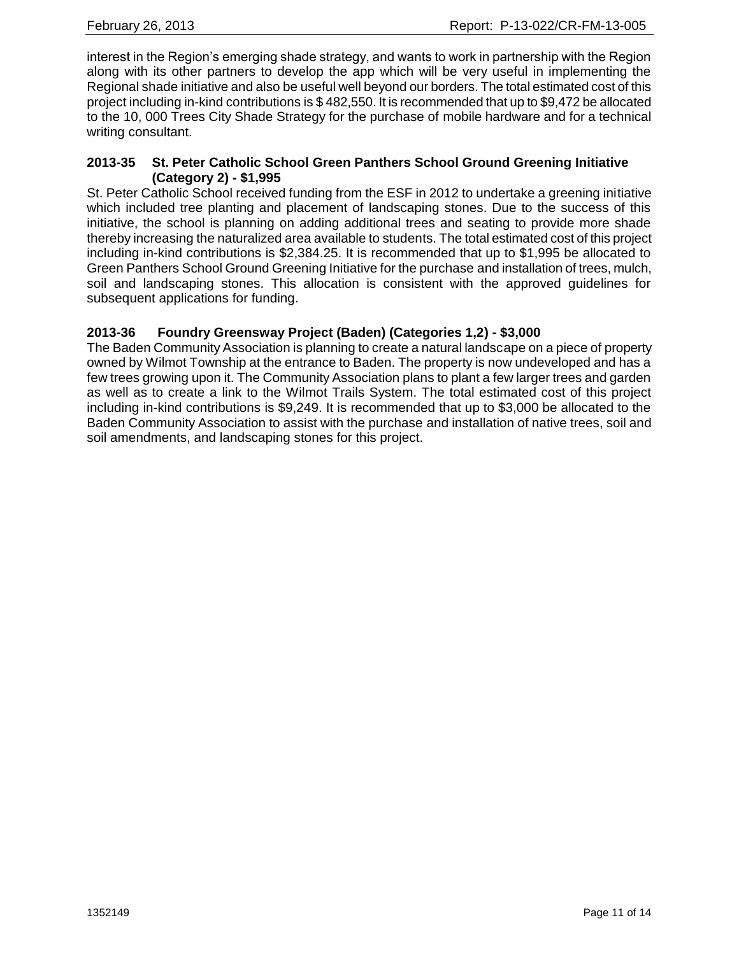interest in the Region's emerging shade strategy, and wants to work in partnership with the Region along with its other partners to develop the app which will be very useful in implementing the Regional shade initiative and also be useful well beyond our borders. The total estimated cost of this project including in-kind contributions is \$ 482,550. It is recommended that up to \$9,472 be allocated to the 10, 000 Trees City Shade Strategy for the purchase of mobile hardware and for a technical writing consultant.

## **2013-35 St. Peter Catholic School Green Panthers School Ground Greening Initiative (Category 2) - \$1,995**

St. Peter Catholic School received funding from the ESF in 2012 to undertake a greening initiative which included tree planting and placement of landscaping stones. Due to the success of this initiative, the school is planning on adding additional trees and seating to provide more shade thereby increasing the naturalized area available to students. The total estimated cost of this project including in-kind contributions is \$2,384.25. It is recommended that up to \$1,995 be allocated to Green Panthers School Ground Greening Initiative for the purchase and installation of trees, mulch, soil and landscaping stones. This allocation is consistent with the approved guidelines for subsequent applications for funding.

## **2013-36 Foundry Greensway Project (Baden) (Categories 1,2) - \$3,000**

The Baden Community Association is planning to create a natural landscape on a piece of property owned by Wilmot Township at the entrance to Baden. The property is now undeveloped and has a few trees growing upon it. The Community Association plans to plant a few larger trees and garden as well as to create a link to the Wilmot Trails System. The total estimated cost of this project including in-kind contributions is \$9,249. It is recommended that up to \$3,000 be allocated to the Baden Community Association to assist with the purchase and installation of native trees, soil and soil amendments, and landscaping stones for this project.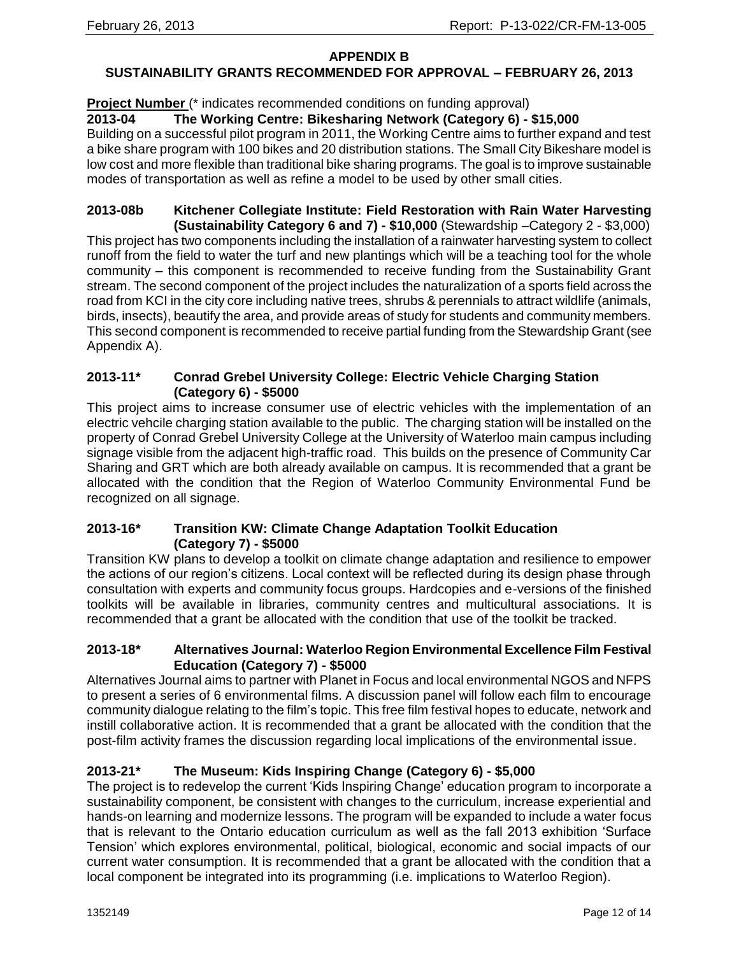#### **APPENDIX B**

## **SUSTAINABILITY GRANTS RECOMMENDED FOR APPROVAL – FEBRUARY 26, 2013**

#### **Project Number** (\* indicates recommended conditions on funding approval)

## **2013-04 The Working Centre: Bikesharing Network (Category 6) - \$15,000**

Building on a successful pilot program in 2011, the Working Centre aims to further expand and test a bike share program with 100 bikes and 20 distribution stations. The Small City Bikeshare model is low cost and more flexible than traditional bike sharing programs. The goal is to improve sustainable modes of transportation as well as refine a model to be used by other small cities.

# **2013-08b Kitchener Collegiate Institute: Field Restoration with Rain Water Harvesting**

**(Sustainability Category 6 and 7) - \$10,000** (Stewardship –Category 2 - \$3,000) This project has two components including the installation of a rainwater harvesting system to collect runoff from the field to water the turf and new plantings which will be a teaching tool for the whole community – this component is recommended to receive funding from the Sustainability Grant stream. The second component of the project includes the naturalization of a sports field across the road from KCI in the city core including native trees, shrubs & perennials to attract wildlife (animals, birds, insects), beautify the area, and provide areas of study for students and community members. This second component is recommended to receive partial funding from the Stewardship Grant (see Appendix A).

#### **2013-11\* Conrad Grebel University College: Electric Vehicle Charging Station (Category 6) - \$5000**

This project aims to increase consumer use of electric vehicles with the implementation of an electric vehcile charging station available to the public. The charging station will be installed on the property of Conrad Grebel University College at the University of Waterloo main campus including signage visible from the adjacent high-traffic road. This builds on the presence of Community Car Sharing and GRT which are both already available on campus. It is recommended that a grant be allocated with the condition that the Region of Waterloo Community Environmental Fund be recognized on all signage.

#### **2013-16\* Transition KW: Climate Change Adaptation Toolkit Education (Category 7) - \$5000**

Transition KW plans to develop a toolkit on climate change adaptation and resilience to empower the actions of our region's citizens. Local context will be reflected during its design phase through consultation with experts and community focus groups. Hardcopies and e-versions of the finished toolkits will be available in libraries, community centres and multicultural associations. It is recommended that a grant be allocated with the condition that use of the toolkit be tracked.

#### **2013-18\* Alternatives Journal: Waterloo Region Environmental Excellence Film Festival Education (Category 7) - \$5000**

Alternatives Journal aims to partner with Planet in Focus and local environmental NGOS and NFPS to present a series of 6 environmental films. A discussion panel will follow each film to encourage community dialogue relating to the film's topic. This free film festival hopes to educate, network and instill collaborative action. It is recommended that a grant be allocated with the condition that the post-film activity frames the discussion regarding local implications of the environmental issue.

# **2013-21\* The Museum: Kids Inspiring Change (Category 6) - \$5,000**

The project is to redevelop the current 'Kids Inspiring Change' education program to incorporate a sustainability component, be consistent with changes to the curriculum, increase experiential and hands-on learning and modernize lessons. The program will be expanded to include a water focus that is relevant to the Ontario education curriculum as well as the fall 2013 exhibition 'Surface Tension' which explores environmental, political, biological, economic and social impacts of our current water consumption. It is recommended that a grant be allocated with the condition that a local component be integrated into its programming (i.e. implications to Waterloo Region).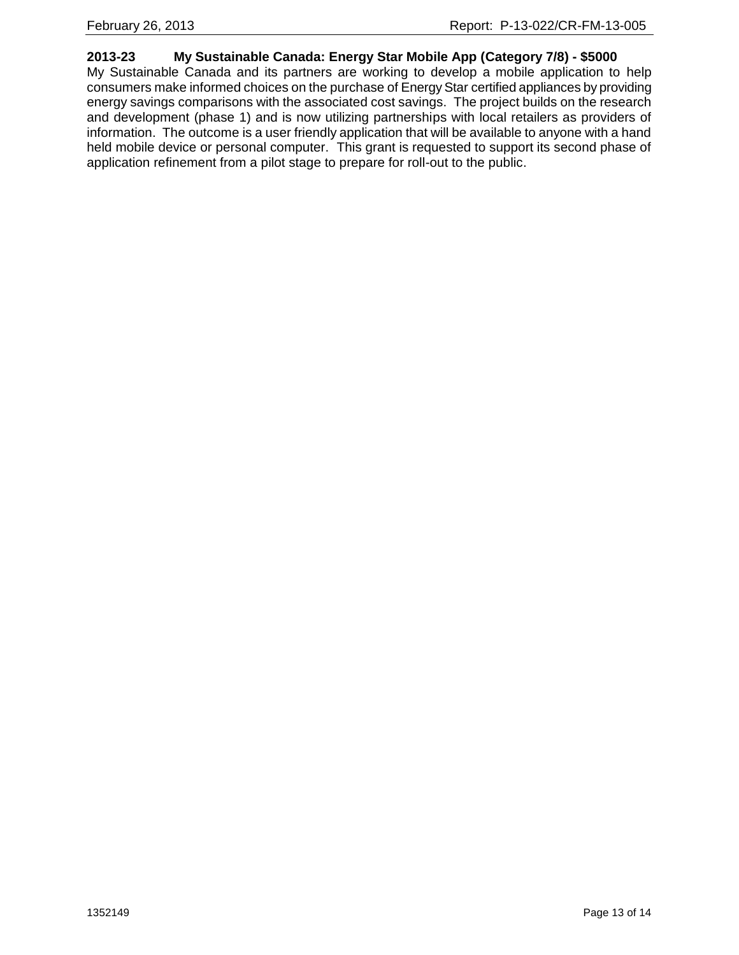## **2013-23 My Sustainable Canada: Energy Star Mobile App (Category 7/8) - \$5000**

My Sustainable Canada and its partners are working to develop a mobile application to help consumers make informed choices on the purchase of Energy Star certified appliances by providing energy savings comparisons with the associated cost savings. The project builds on the research and development (phase 1) and is now utilizing partnerships with local retailers as providers of information. The outcome is a user friendly application that will be available to anyone with a hand held mobile device or personal computer. This grant is requested to support its second phase of application refinement from a pilot stage to prepare for roll-out to the public.